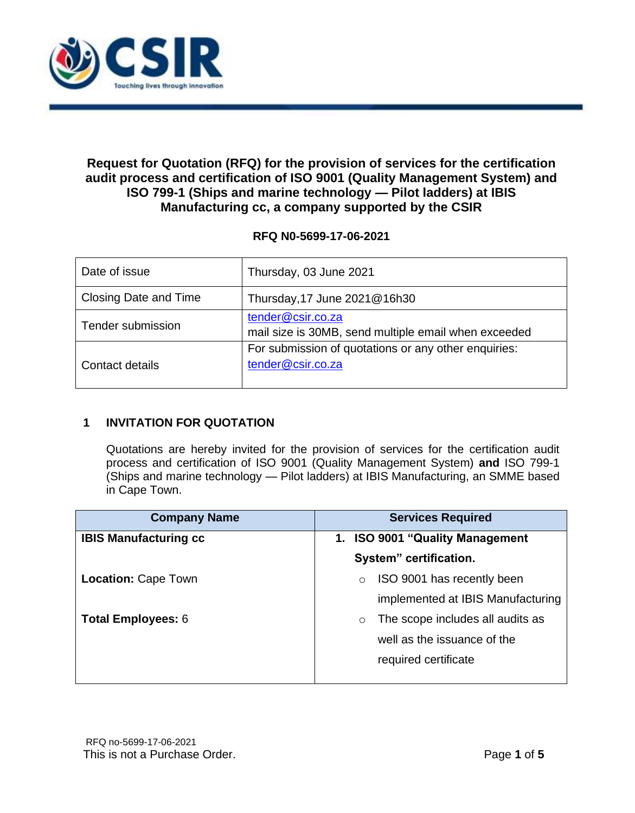

# **Request for Quotation (RFQ) for the provision of services for the certification audit process and certification of ISO 9001 (Quality Management System) and ISO 799-1 (Ships and marine technology — Pilot ladders) at IBIS Manufacturing cc, a company supported by the CSIR**

## **RFQ N0-5699-17-06-2021**

| Date of issue         | Thursday, 03 June 2021                                                    |
|-----------------------|---------------------------------------------------------------------------|
| Closing Date and Time | Thursday, 17 June 2021@16h30                                              |
| Tender submission     | tender@csir.co.za<br>mail size is 30MB, send multiple email when exceeded |
| Contact details       | For submission of quotations or any other enquiries:<br>tender@csir.co.za |

## **1 INVITATION FOR QUOTATION**

Quotations are hereby invited for the provision of services for the certification audit process and certification of ISO 9001 (Quality Management System) **and** ISO 799-1 (Ships and marine technology — Pilot ladders) at IBIS Manufacturing, an SMME based in Cape Town.

| <b>Company Name</b>          | <b>Services Required</b>                    |
|------------------------------|---------------------------------------------|
| <b>IBIS Manufacturing cc</b> | <b>ISO 9001 "Quality Management</b><br>1.   |
|                              | System" certification.                      |
| <b>Location: Cape Town</b>   | ISO 9001 has recently been<br>$\circ$       |
|                              | implemented at IBIS Manufacturing           |
| <b>Total Employees: 6</b>    | The scope includes all audits as<br>$\circ$ |
|                              | well as the issuance of the                 |
|                              | required certificate                        |
|                              |                                             |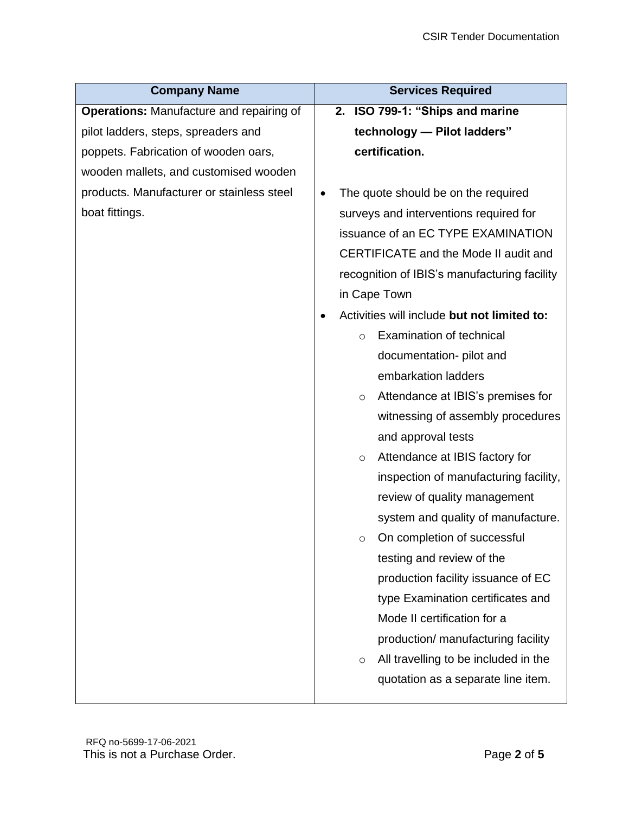| <b>Company Name</b>                             | <b>Services Required</b>                        |  |
|-------------------------------------------------|-------------------------------------------------|--|
| <b>Operations: Manufacture and repairing of</b> | 2. ISO 799-1: "Ships and marine                 |  |
| pilot ladders, steps, spreaders and             | technology - Pilot ladders"                     |  |
| poppets. Fabrication of wooden oars,            | certification.                                  |  |
| wooden mallets, and customised wooden           |                                                 |  |
| products. Manufacturer or stainless steel       | The quote should be on the required             |  |
| boat fittings.                                  | surveys and interventions required for          |  |
|                                                 | issuance of an EC TYPE EXAMINATION              |  |
|                                                 | CERTIFICATE and the Mode II audit and           |  |
|                                                 | recognition of IBIS's manufacturing facility    |  |
|                                                 | in Cape Town                                    |  |
|                                                 | Activities will include but not limited to:     |  |
|                                                 | Examination of technical<br>$\circ$             |  |
|                                                 | documentation- pilot and                        |  |
|                                                 | embarkation ladders                             |  |
|                                                 | Attendance at IBIS's premises for<br>$\circ$    |  |
|                                                 | witnessing of assembly procedures               |  |
|                                                 | and approval tests                              |  |
|                                                 | Attendance at IBIS factory for<br>O             |  |
|                                                 | inspection of manufacturing facility,           |  |
|                                                 | review of quality management                    |  |
|                                                 | system and quality of manufacture.              |  |
|                                                 | On completion of successful<br>$\circ$          |  |
|                                                 | testing and review of the                       |  |
|                                                 | production facility issuance of EC              |  |
|                                                 | type Examination certificates and               |  |
|                                                 | Mode II certification for a                     |  |
|                                                 | production/ manufacturing facility              |  |
|                                                 | All travelling to be included in the<br>$\circ$ |  |
|                                                 | quotation as a separate line item.              |  |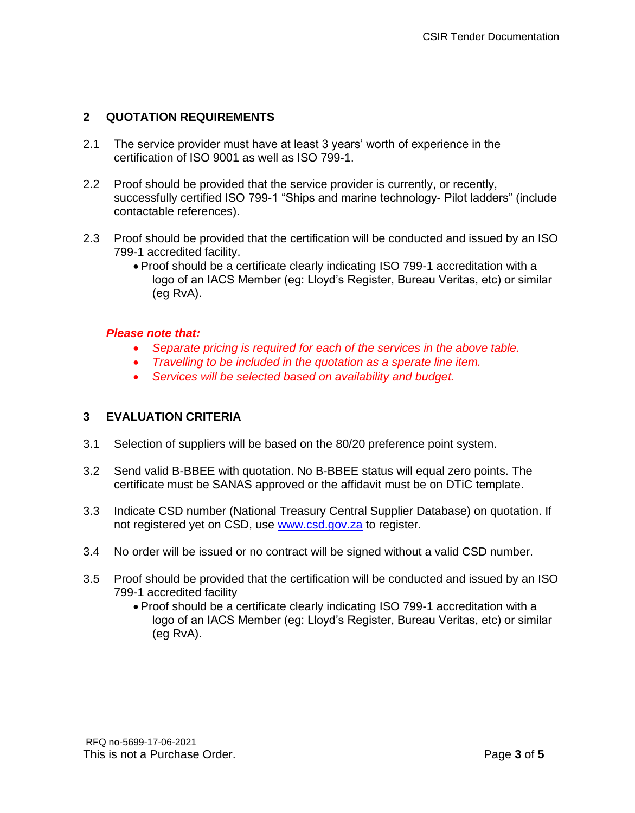## **2 QUOTATION REQUIREMENTS**

- 2.1 The service provider must have at least 3 years' worth of experience in the certification of ISO 9001 as well as ISO 799-1.
- 2.2 Proof should be provided that the service provider is currently, or recently, successfully certified ISO 799-1 "Ships and marine technology- Pilot ladders" (include contactable references).
- 2.3 Proof should be provided that the certification will be conducted and issued by an ISO 799-1 accredited facility.
	- Proof should be a certificate clearly indicating ISO 799-1 accreditation with a logo of an IACS Member (eg: Lloyd's Register, Bureau Veritas, etc) or similar (eg RvA).

#### *Please note that:*

- *Separate pricing is required for each of the services in the above table.*
- *Travelling to be included in the quotation as a sperate line item.*
- *Services will be selected based on availability and budget.*

## **3 EVALUATION CRITERIA**

- 3.1 Selection of suppliers will be based on the 80/20 preference point system.
- 3.2 Send valid B-BBEE with quotation. No B-BBEE status will equal zero points. The certificate must be SANAS approved or the affidavit must be on DTiC template.
- 3.3 Indicate CSD number (National Treasury Central Supplier Database) on quotation. If not registered yet on CSD, use [www.csd.gov.za](http://www.csd.gov.za/) to register.
- 3.4 No order will be issued or no contract will be signed without a valid CSD number.
- 3.5 Proof should be provided that the certification will be conducted and issued by an ISO 799-1 accredited facility
	- Proof should be a certificate clearly indicating ISO 799-1 accreditation with a logo of an IACS Member (eg: Lloyd's Register, Bureau Veritas, etc) or similar (eg RvA).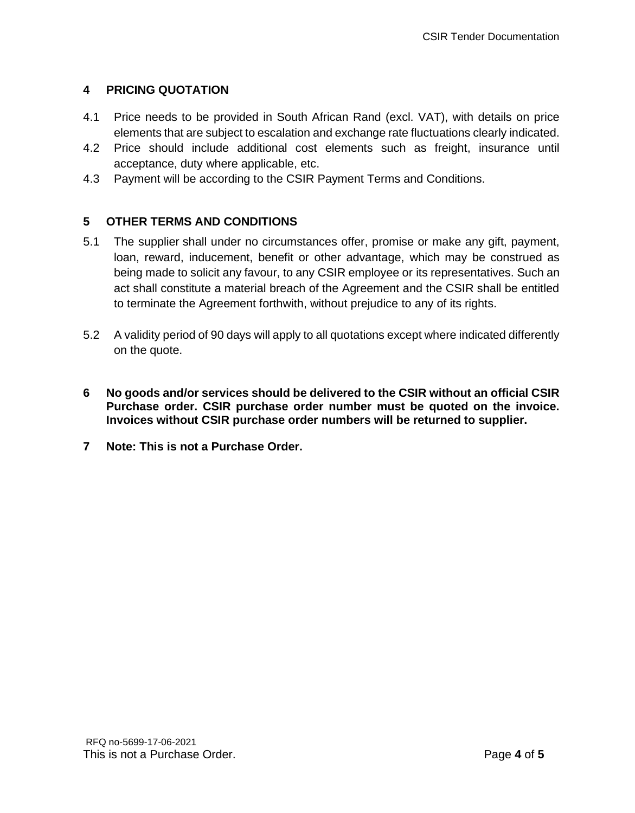# **4 PRICING QUOTATION**

- 4.1 Price needs to be provided in South African Rand (excl. VAT), with details on price elements that are subject to escalation and exchange rate fluctuations clearly indicated.
- 4.2 Price should include additional cost elements such as freight, insurance until acceptance, duty where applicable, etc.
- 4.3 Payment will be according to the CSIR Payment Terms and Conditions.

## **5 OTHER TERMS AND CONDITIONS**

- 5.1 The supplier shall under no circumstances offer, promise or make any gift, payment, loan, reward, inducement, benefit or other advantage, which may be construed as being made to solicit any favour, to any CSIR employee or its representatives. Such an act shall constitute a material breach of the Agreement and the CSIR shall be entitled to terminate the Agreement forthwith, without prejudice to any of its rights.
- 5.2 A validity period of 90 days will apply to all quotations except where indicated differently on the quote.
- **6 No goods and/or services should be delivered to the CSIR without an official CSIR Purchase order. CSIR purchase order number must be quoted on the invoice. Invoices without CSIR purchase order numbers will be returned to supplier.**
- **7 Note: This is not a Purchase Order.**